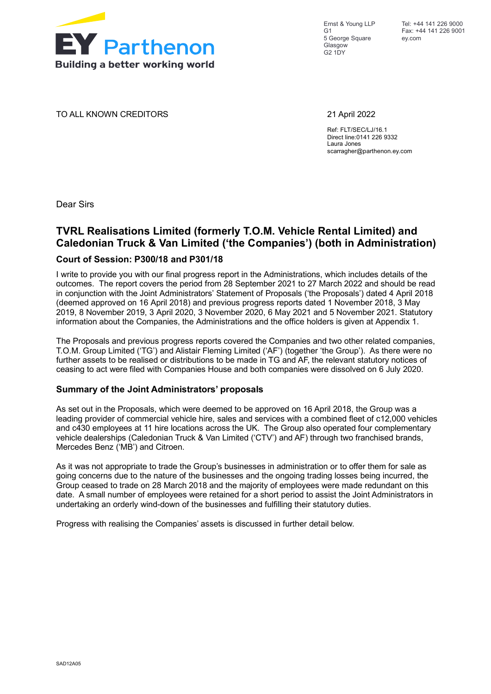

Ernst & Young LLP  $G<sub>1</sub>$ 5 George Square Glasgow G2 1DY

TO ALL KNOWN CREDITORS 21 April 2022

Ref: FLT/SEC/LJ/16.1 Direct line:0141 226 9332 Laura Jones scarragher@parthenon.ey.com

Dear Sirs

# **TVRL Realisations Limited (formerly T.O.M. Vehicle Rental Limited) and Caledonian Truck & Van Limited ('the Companies') (both in Administration)**

## **Court of Session: P300/18 and P301/18**

I write to provide you with our final progress report in the Administrations, which includes details of the outcomes. The report covers the period from 28 September 2021 to 27 March 2022 and should be read in conjunction with the Joint Administrators' Statement of Proposals ('the Proposals') dated 4 April 2018 (deemed approved on 16 April 2018) and previous progress reports dated 1 November 2018, 3 May 2019, 8 November 2019, 3 April 2020, 3 November 2020, 6 May 2021 and 5 November 2021. Statutory information about the Companies, the Administrations and the office holders is given at Appendix 1.

The Proposals and previous progress reports covered the Companies and two other related companies, T.O.M. Group Limited ('TG') and Alistair Fleming Limited ('AF') (together 'the Group'). As there were no further assets to be realised or distributions to be made in TG and AF, the relevant statutory notices of ceasing to act were filed with Companies House and both companies were dissolved on 6 July 2020.

### **Summary of the Joint Administrators' proposals**

As set out in the Proposals, which were deemed to be approved on 16 April 2018, the Group was a leading provider of commercial vehicle hire, sales and services with a combined fleet of c12,000 vehicles and c430 employees at 11 hire locations across the UK. The Group also operated four complementary vehicle dealerships (Caledonian Truck & Van Limited ('CTV') and AF) through two franchised brands, Mercedes Benz ('MB') and Citroen.

As it was not appropriate to trade the Group's businesses in administration or to offer them for sale as going concerns due to the nature of the businesses and the ongoing trading losses being incurred, the Group ceased to trade on 28 March 2018 and the majority of employees were made redundant on this date. A small number of employees were retained for a short period to assist the Joint Administrators in undertaking an orderly wind-down of the businesses and fulfilling their statutory duties.

Progress with realising the Companies' assets is discussed in further detail below.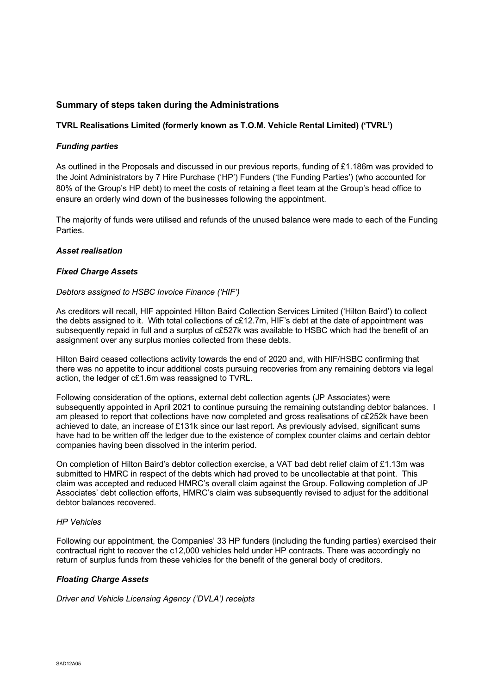## **Summary of steps taken during the Administrations**

### **TVRL Realisations Limited (formerly known as T.O.M. Vehicle Rental Limited) ('TVRL')**

### *Funding parties*

As outlined in the Proposals and discussed in our previous reports, funding of £1.186m was provided to the Joint Administrators by 7 Hire Purchase ('HP') Funders ('the Funding Parties') (who accounted for 80% of the Group's HP debt) to meet the costs of retaining a fleet team at the Group's head office to ensure an orderly wind down of the businesses following the appointment.

The majority of funds were utilised and refunds of the unused balance were made to each of the Funding Parties.

### *Asset realisation*

### *Fixed Charge Assets*

### *Debtors assigned to HSBC Invoice Finance ('HIF')*

As creditors will recall, HIF appointed Hilton Baird Collection Services Limited ('Hilton Baird') to collect the debts assigned to it. With total collections of c£12.7m, HIF's debt at the date of appointment was subsequently repaid in full and a surplus of c£527k was available to HSBC which had the benefit of an assignment over any surplus monies collected from these debts.

Hilton Baird ceased collections activity towards the end of 2020 and, with HIF/HSBC confirming that there was no appetite to incur additional costs pursuing recoveries from any remaining debtors via legal action, the ledger of c£1.6m was reassigned to TVRL.

Following consideration of the options, external debt collection agents (JP Associates) were subsequently appointed in April 2021 to continue pursuing the remaining outstanding debtor balances. I am pleased to report that collections have now completed and gross realisations of c£252k have been achieved to date, an increase of £131k since our last report. As previously advised, significant sums have had to be written off the ledger due to the existence of complex counter claims and certain debtor companies having been dissolved in the interim period.

On completion of Hilton Baird's debtor collection exercise, a VAT bad debt relief claim of £1.13m was submitted to HMRC in respect of the debts which had proved to be uncollectable at that point. This claim was accepted and reduced HMRC's overall claim against the Group. Following completion of JP Associates' debt collection efforts, HMRC's claim was subsequently revised to adjust for the additional debtor balances recovered.

### *HP Vehicles*

Following our appointment, the Companies' 33 HP funders (including the funding parties) exercised their contractual right to recover the c12,000 vehicles held under HP contracts. There was accordingly no return of surplus funds from these vehicles for the benefit of the general body of creditors.

### *Floating Charge Assets*

*Driver and Vehicle Licensing Agency ('DVLA') receipts*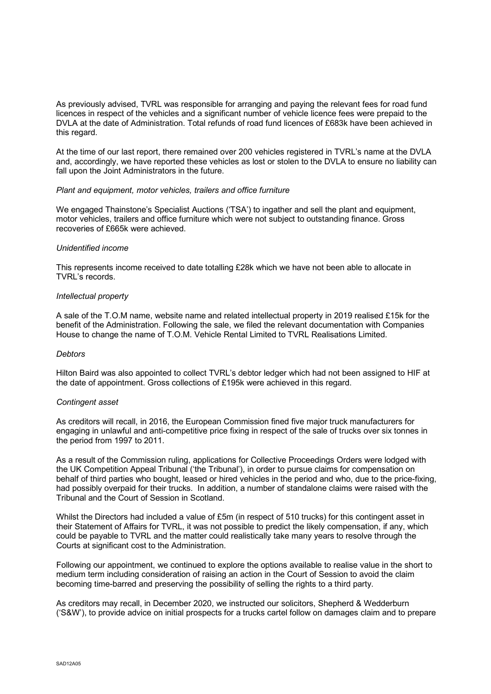As previously advised, TVRL was responsible for arranging and paying the relevant fees for road fund licences in respect of the vehicles and a significant number of vehicle licence fees were prepaid to the DVLA at the date of Administration. Total refunds of road fund licences of £683k have been achieved in this regard.

At the time of our last report, there remained over 200 vehicles registered in TVRL's name at the DVLA and, accordingly, we have reported these vehicles as lost or stolen to the DVLA to ensure no liability can fall upon the Joint Administrators in the future.

### *Plant and equipment, motor vehicles, trailers and office furniture*

We engaged Thainstone's Specialist Auctions ('TSA') to ingather and sell the plant and equipment, motor vehicles, trailers and office furniture which were not subject to outstanding finance. Gross recoveries of £665k were achieved.

### *Unidentified income*

This represents income received to date totalling £28k which we have not been able to allocate in TVRL's records.

### *Intellectual property*

A sale of the T.O.M name, website name and related intellectual property in 2019 realised £15k for the benefit of the Administration. Following the sale, we filed the relevant documentation with Companies House to change the name of T.O.M. Vehicle Rental Limited to TVRL Realisations Limited.

### *Debtors*

Hilton Baird was also appointed to collect TVRL's debtor ledger which had not been assigned to HIF at the date of appointment. Gross collections of £195k were achieved in this regard.

### *Contingent asset*

As creditors will recall, in 2016, the European Commission fined five major truck manufacturers for engaging in unlawful and anti-competitive price fixing in respect of the sale of trucks over six tonnes in the period from 1997 to 2011.

As a result of the Commission ruling, applications for Collective Proceedings Orders were lodged with the UK Competition Appeal Tribunal ('the Tribunal'), in order to pursue claims for compensation on behalf of third parties who bought, leased or hired vehicles in the period and who, due to the price-fixing, had possibly overpaid for their trucks. In addition, a number of standalone claims were raised with the Tribunal and the Court of Session in Scotland.

Whilst the Directors had included a value of £5m (in respect of 510 trucks) for this contingent asset in their Statement of Affairs for TVRL, it was not possible to predict the likely compensation, if any, which could be payable to TVRL and the matter could realistically take many years to resolve through the Courts at significant cost to the Administration.

Following our appointment, we continued to explore the options available to realise value in the short to medium term including consideration of raising an action in the Court of Session to avoid the claim becoming time-barred and preserving the possibility of selling the rights to a third party.

As creditors may recall, in December 2020, we instructed our solicitors, Shepherd & Wedderburn ('S&W'), to provide advice on initial prospects for a trucks cartel follow on damages claim and to prepare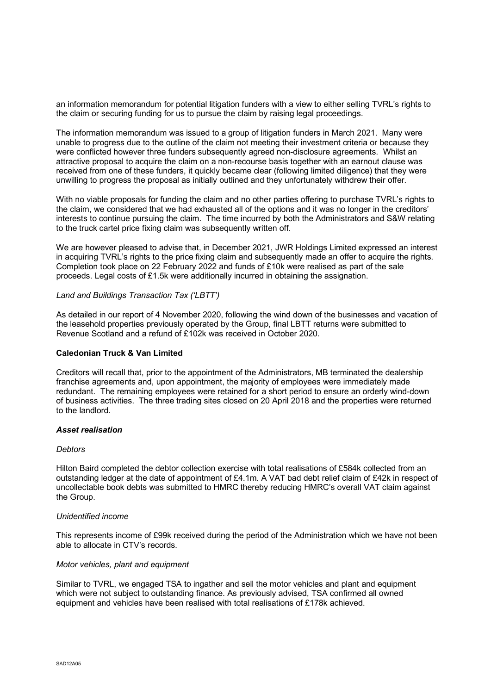an information memorandum for potential litigation funders with a view to either selling TVRL's rights to the claim or securing funding for us to pursue the claim by raising legal proceedings.

The information memorandum was issued to a group of litigation funders in March 2021. Many were unable to progress due to the outline of the claim not meeting their investment criteria or because they were conflicted however three funders subsequently agreed non-disclosure agreements. Whilst an attractive proposal to acquire the claim on a non-recourse basis together with an earnout clause was received from one of these funders, it quickly became clear (following limited diligence) that they were unwilling to progress the proposal as initially outlined and they unfortunately withdrew their offer.

With no viable proposals for funding the claim and no other parties offering to purchase TVRL's rights to the claim, we considered that we had exhausted all of the options and it was no longer in the creditors' interests to continue pursuing the claim. The time incurred by both the Administrators and S&W relating to the truck cartel price fixing claim was subsequently written off.

We are however pleased to advise that, in December 2021, JWR Holdings Limited expressed an interest in acquiring TVRL's rights to the price fixing claim and subsequently made an offer to acquire the rights. Completion took place on 22 February 2022 and funds of £10k were realised as part of the sale proceeds. Legal costs of £1.5k were additionally incurred in obtaining the assignation.

### *Land and Buildings Transaction Tax ('LBTT')*

As detailed in our report of 4 November 2020, following the wind down of the businesses and vacation of the leasehold properties previously operated by the Group, final LBTT returns were submitted to Revenue Scotland and a refund of £102k was received in October 2020.

### **Caledonian Truck & Van Limited**

Creditors will recall that, prior to the appointment of the Administrators, MB terminated the dealership franchise agreements and, upon appointment, the majority of employees were immediately made redundant. The remaining employees were retained for a short period to ensure an orderly wind-down of business activities. The three trading sites closed on 20 April 2018 and the properties were returned to the landlord.

### *Asset realisation*

### *Debtors*

Hilton Baird completed the debtor collection exercise with total realisations of £584k collected from an outstanding ledger at the date of appointment of £4.1m. A VAT bad debt relief claim of £42k in respect of uncollectable book debts was submitted to HMRC thereby reducing HMRC's overall VAT claim against the Group.

### *Unidentified income*

This represents income of £99k received during the period of the Administration which we have not been able to allocate in CTV's records.

### *Motor vehicles, plant and equipment*

Similar to TVRL, we engaged TSA to ingather and sell the motor vehicles and plant and equipment which were not subject to outstanding finance. As previously advised, TSA confirmed all owned equipment and vehicles have been realised with total realisations of £178k achieved.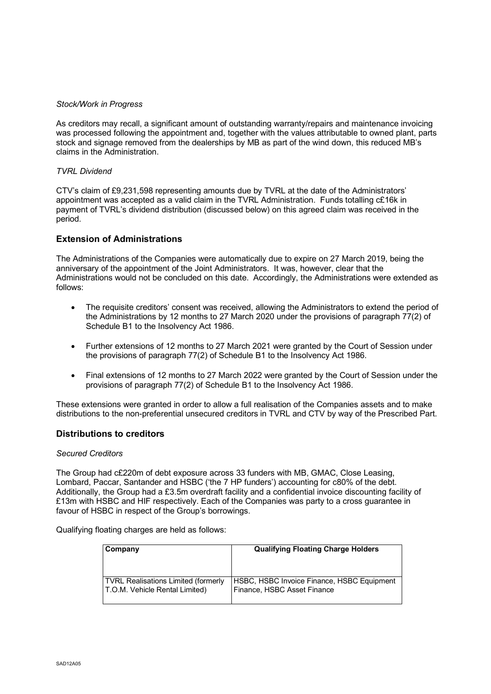### *Stock/Work in Progress*

As creditors may recall, a significant amount of outstanding warranty/repairs and maintenance invoicing was processed following the appointment and, together with the values attributable to owned plant, parts stock and signage removed from the dealerships by MB as part of the wind down, this reduced MB's claims in the Administration.

### *TVRL Dividend*

CTV's claim of £9,231,598 representing amounts due by TVRL at the date of the Administrators' appointment was accepted as a valid claim in the TVRL Administration. Funds totalling c£16k in payment of TVRL's dividend distribution (discussed below) on this agreed claim was received in the period.

## **Extension of Administrations**

The Administrations of the Companies were automatically due to expire on 27 March 2019, being the anniversary of the appointment of the Joint Administrators. It was, however, clear that the Administrations would not be concluded on this date. Accordingly, the Administrations were extended as follows:

- The requisite creditors' consent was received, allowing the Administrators to extend the period of the Administrations by 12 months to 27 March 2020 under the provisions of paragraph 77(2) of Schedule B1 to the Insolvency Act 1986.
- Further extensions of 12 months to 27 March 2021 were granted by the Court of Session under the provisions of paragraph 77(2) of Schedule B1 to the Insolvency Act 1986.
- Final extensions of 12 months to 27 March 2022 were granted by the Court of Session under the provisions of paragraph 77(2) of Schedule B1 to the Insolvency Act 1986.

These extensions were granted in order to allow a full realisation of the Companies assets and to make distributions to the non-preferential unsecured creditors in TVRL and CTV by way of the Prescribed Part.

### **Distributions to creditors**

### *Secured Creditors*

The Group had c£220m of debt exposure across 33 funders with MB, GMAC, Close Leasing, Lombard, Paccar, Santander and HSBC ('the 7 HP funders') accounting for c80% of the debt. Additionally, the Group had a £3.5m overdraft facility and a confidential invoice discounting facility of £13m with HSBC and HIF respectively. Each of the Companies was party to a cross guarantee in favour of HSBC in respect of the Group's borrowings.

Qualifying floating charges are held as follows:

| Company                                    | <b>Qualifying Floating Charge Holders</b>  |
|--------------------------------------------|--------------------------------------------|
| <b>TVRL Realisations Limited (formerly</b> | HSBC, HSBC Invoice Finance, HSBC Equipment |
| T.O.M. Vehicle Rental Limited)             | Finance, HSBC Asset Finance                |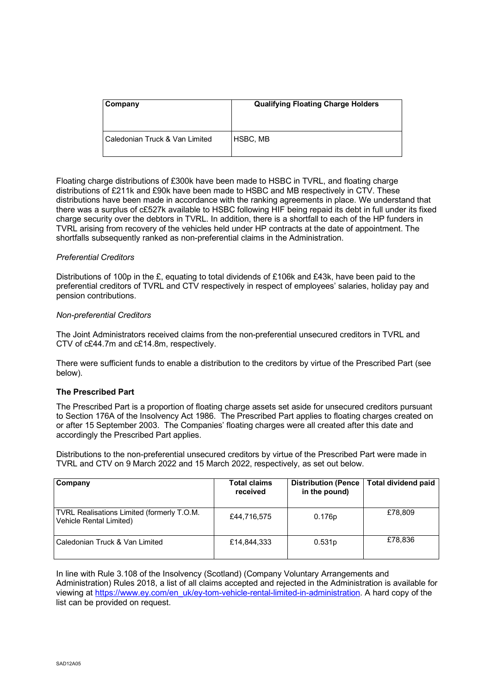| Company                                   | <b>Qualifying Floating Charge Holders</b> |  |  |  |
|-------------------------------------------|-------------------------------------------|--|--|--|
| <b>Caledonian Truck &amp; Van Limited</b> | <b>HSBC, MB</b>                           |  |  |  |

Floating charge distributions of £300k have been made to HSBC in TVRL, and floating charge distributions of £211k and £90k have been made to HSBC and MB respectively in CTV. These distributions have been made in accordance with the ranking agreements in place. We understand that there was a surplus of c£527k available to HSBC following HIF being repaid its debt in full under its fixed charge security over the debtors in TVRL. In addition, there is a shortfall to each of the HP funders in TVRL arising from recovery of the vehicles held under HP contracts at the date of appointment. The shortfalls subsequently ranked as non-preferential claims in the Administration.

### *Preferential Creditors*

Distributions of 100p in the £, equating to total dividends of £106k and £43k, have been paid to the preferential creditors of TVRL and CTV respectively in respect of employees' salaries, holiday pay and pension contributions.

### *Non-preferential Creditors*

The Joint Administrators received claims from the non-preferential unsecured creditors in TVRL and CTV of c£44.7m and c£14.8m, respectively.

There were sufficient funds to enable a distribution to the creditors by virtue of the Prescribed Part (see below).

### **The Prescribed Part**

The Prescribed Part is a proportion of floating charge assets set aside for unsecured creditors pursuant to Section 176A of the Insolvency Act 1986. The Prescribed Part applies to floating charges created on or after 15 September 2003. The Companies' floating charges were all created after this date and accordingly the Prescribed Part applies.

Distributions to the non-preferential unsecured creditors by virtue of the Prescribed Part were made in TVRL and CTV on 9 March 2022 and 15 March 2022, respectively, as set out below.

| Company                                                               | <b>Total claims</b><br>received | Distribution (Pence<br>in the pound) | <b>Total dividend paid</b> |
|-----------------------------------------------------------------------|---------------------------------|--------------------------------------|----------------------------|
| TVRL Realisations Limited (formerly T.O.M.<br>Vehicle Rental Limited) | £44,716,575                     | 0.176p                               | £78,809                    |
| l Caledonian Truck & Van Limited                                      | £14,844,333                     | 0.531p                               | £78.836                    |

In line with Rule 3.108 of the Insolvency (Scotland) (Company Voluntary Arrangements and Administration) Rules 2018, a list of all claims accepted and rejected in the Administration is available for viewing at [https://www.ey.com/en\\_uk/ey-tom-vehicle-rental-limited-in-administration.](https://www.ey.com/en_uk/ey-tom-vehicle-rental-limited-in-administration) A hard copy of the list can be provided on request.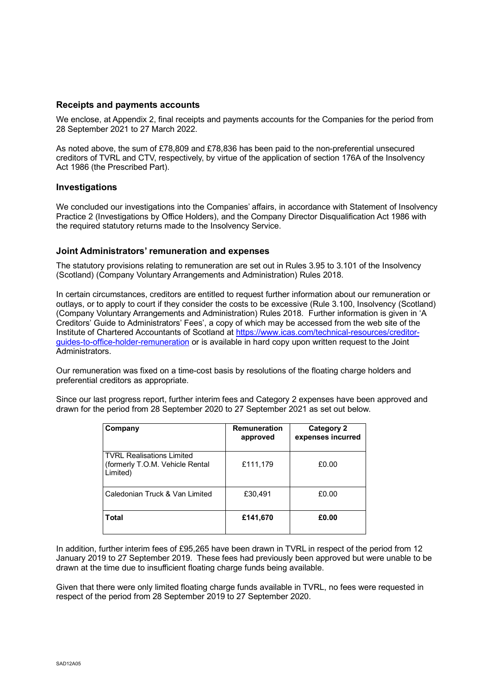### **Receipts and payments accounts**

We enclose, at Appendix 2, final receipts and payments accounts for the Companies for the period from 28 September 2021 to 27 March 2022.

As noted above, the sum of £78,809 and £78,836 has been paid to the non-preferential unsecured creditors of TVRL and CTV, respectively, by virtue of the application of section 176A of the Insolvency Act 1986 (the Prescribed Part).

### **Investigations**

We concluded our investigations into the Companies' affairs, in accordance with Statement of Insolvency Practice 2 (Investigations by Office Holders), and the Company Director Disqualification Act 1986 with the required statutory returns made to the Insolvency Service.

### **Joint Administrators' remuneration and expenses**

The statutory provisions relating to remuneration are set out in Rules 3.95 to 3.101 of the Insolvency (Scotland) (Company Voluntary Arrangements and Administration) Rules 2018.

In certain circumstances, creditors are entitled to request further information about our remuneration or outlays, or to apply to court if they consider the costs to be excessive (Rule 3.100, Insolvency (Scotland) (Company Voluntary Arrangements and Administration) Rules 2018. Further information is given in 'A Creditors' Guide to Administrators' Fees', a copy of which may be accessed from the web site of the Institute of Chartered Accountants of Scotland at [https://www.icas.com/technical-resources/creditor](https://www.icas.com/technical-resources/creditor-guides-to-office-holder-remuneration)[guides-to-office-holder-remuneration](https://www.icas.com/technical-resources/creditor-guides-to-office-holder-remuneration) or is available in hard copy upon written request to the Joint Administrators.

Our remuneration was fixed on a time-cost basis by resolutions of the floating charge holders and preferential creditors as appropriate.

Since our last progress report, further interim fees and Category 2 expenses have been approved and drawn for the period from 28 September 2020 to 27 September 2021 as set out below.

| Company                                                                    | <b>Remuneration</b><br>approved | <b>Category 2</b><br>expenses incurred |
|----------------------------------------------------------------------------|---------------------------------|----------------------------------------|
| l TVRL Realisations Limited<br>(formerly T.O.M. Vehicle Rental<br>Limited) | £111,179                        | £0.00                                  |
| Caledonian Truck & Van Limited                                             | £30,491                         | £0.00                                  |
| Total                                                                      | £141,670                        | £0.00                                  |

In addition, further interim fees of £95,265 have been drawn in TVRL in respect of the period from 12 January 2019 to 27 September 2019. These fees had previously been approved but were unable to be drawn at the time due to insufficient floating charge funds being available.

Given that there were only limited floating charge funds available in TVRL, no fees were requested in respect of the period from 28 September 2019 to 27 September 2020.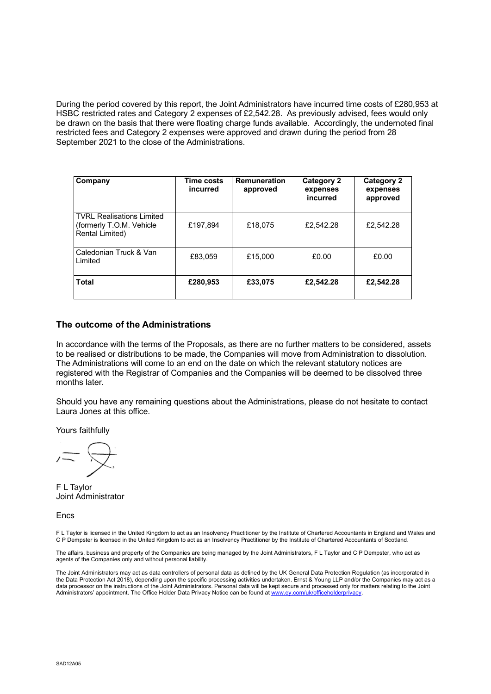During the period covered by this report, the Joint Administrators have incurred time costs of £280,953 at HSBC restricted rates and Category 2 expenses of £2,542.28. As previously advised, fees would only be drawn on the basis that there were floating charge funds available. Accordingly, the undernoted final restricted fees and Category 2 expenses were approved and drawn during the period from 28 September 2021 to the close of the Administrations.

| Company                                                                         | Time costs<br>incurred | <b>Remuneration</b><br>approved | Category 2<br>expenses<br>incurred | <b>Category 2</b><br>expenses<br>approved |  |
|---------------------------------------------------------------------------------|------------------------|---------------------------------|------------------------------------|-------------------------------------------|--|
| <b>TVRL Realisations Limited</b><br>(formerly T.O.M. Vehicle<br>Rental Limited) | £197.894               | £18.075                         | £2,542.28                          | £2,542.28                                 |  |
| Caledonian Truck & Van<br>I imited                                              | £83,059                | £15,000                         | £0.00                              | £0.00                                     |  |
| <b>Total</b>                                                                    | £280,953               | £33,075                         | £2,542.28                          | £2,542.28                                 |  |

### **The outcome of the Administrations**

In accordance with the terms of the Proposals, as there are no further matters to be considered, assets to be realised or distributions to be made, the Companies will move from Administration to dissolution. The Administrations will come to an end on the date on which the relevant statutory notices are registered with the Registrar of Companies and the Companies will be deemed to be dissolved three months later.

Should you have any remaining questions about the Administrations, please do not hesitate to contact Laura Jones at this office.

Yours faithfully

F L Taylor Joint Administrator

Encs

F L Taylor is licensed in the United Kingdom to act as an Insolvency Practitioner by the Institute of Chartered Accountants in England and Wales and C P Dempster is licensed in the United Kingdom to act as an Insolvency Practitioner by the Institute of Chartered Accountants of Scotland.

The affairs, business and property of the Companies are being managed by the Joint Administrators, F L Taylor and C P Dempster, who act as agents of the Companies only and without personal liability.

 The Joint Administrators may act as data controllers of personal data as defined by the UK General Data Protection Regulation (as incorporated in the Data Protection Act 2018), depending upon the specific processing activities undertaken. Ernst & Young LLP and/or the Companies may act as a data processor on the instructions of the Joint Administrators. Personal data will be kept secure and processed only for matters relating to the Joint Administrators' appointment. The Office Holder Data Privacy Notice can be found at [www.ey.com/uk/officeholderprivacy.](https://eur03.safelinks.protection.outlook.com/?url=http%3A%2F%2Fwww.ey.com%2Fuk%2Fofficeholderprivacy&data=04%7C01%7Cscott.taylor2%40hmrc.gov.uk%7C91bfb6158d074e65638908d92076b1ab%7Cac52f73cfd1a4a9a8e7a4a248f3139e1%7C0%7C0%7C637576516838466404%7CUnknown%7CTWFpbGZsb3d8eyJWIjoiMC4wLjAwMDAiLCJQIjoiV2luMzIiLCJBTiI6Ik1haWwiLCJXVCI6Mn0%3D%7C1000&sdata=%2B0kekSI2ckIxrxn8RAlOM557NSh%2FiCuSJT%2BI9ocGeIs%3D&reserved=0)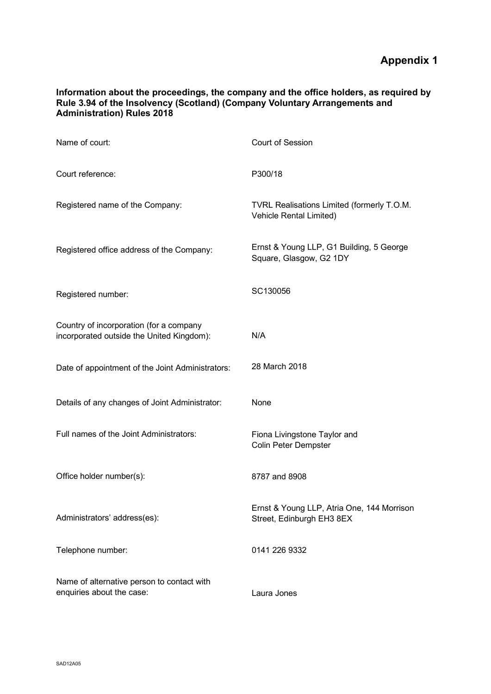## **Information about the proceedings, the company and the office holders, as required by Rule 3.94 of the Insolvency (Scotland) (Company Voluntary Arrangements and Administration) Rules 2018**

| Name of court:                                                                       | Court of Session                                                        |
|--------------------------------------------------------------------------------------|-------------------------------------------------------------------------|
| Court reference:                                                                     | P300/18                                                                 |
| Registered name of the Company:                                                      | TVRL Realisations Limited (formerly T.O.M.<br>Vehicle Rental Limited)   |
| Registered office address of the Company:                                            | Ernst & Young LLP, G1 Building, 5 George<br>Square, Glasgow, G2 1DY     |
| Registered number:                                                                   | SC130056                                                                |
| Country of incorporation (for a company<br>incorporated outside the United Kingdom): | N/A                                                                     |
| Date of appointment of the Joint Administrators:                                     | 28 March 2018                                                           |
| Details of any changes of Joint Administrator:                                       | None                                                                    |
| Full names of the Joint Administrators:                                              | Fiona Livingstone Taylor and<br><b>Colin Peter Dempster</b>             |
| Office holder number(s):                                                             | 8787 and 8908                                                           |
| Administrators' address(es):                                                         | Ernst & Young LLP, Atria One, 144 Morrison<br>Street, Edinburgh EH3 8EX |
| Telephone number:                                                                    | 0141 226 9332                                                           |
| Name of alternative person to contact with<br>enquiries about the case:              | Laura Jones                                                             |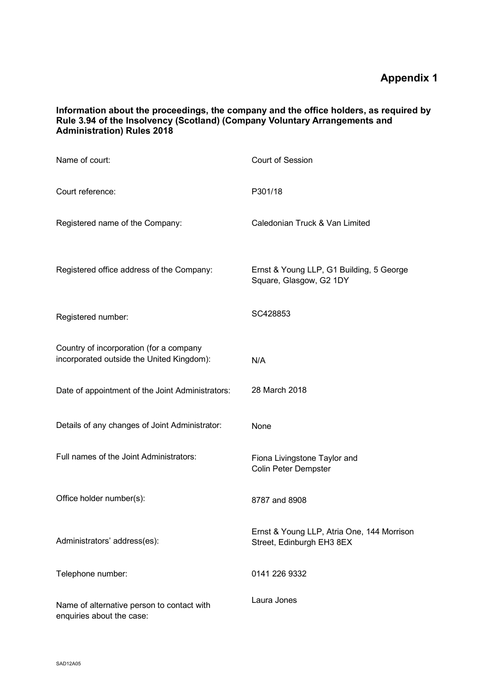## **Information about the proceedings, the company and the office holders, as required by Rule 3.94 of the Insolvency (Scotland) (Company Voluntary Arrangements and Administration) Rules 2018**

| Name of court:                                                                       | Court of Session                                                        |
|--------------------------------------------------------------------------------------|-------------------------------------------------------------------------|
| Court reference:                                                                     | P301/18                                                                 |
| Registered name of the Company:                                                      | Caledonian Truck & Van Limited                                          |
| Registered office address of the Company:                                            | Ernst & Young LLP, G1 Building, 5 George<br>Square, Glasgow, G2 1DY     |
| Registered number:                                                                   | SC428853                                                                |
| Country of incorporation (for a company<br>incorporated outside the United Kingdom): | N/A                                                                     |
| Date of appointment of the Joint Administrators:                                     | 28 March 2018                                                           |
| Details of any changes of Joint Administrator:                                       | None                                                                    |
| Full names of the Joint Administrators:                                              | Fiona Livingstone Taylor and<br>Colin Peter Dempster                    |
| Office holder number(s):                                                             | 8787 and 8908                                                           |
| Administrators' address(es):                                                         | Ernst & Young LLP, Atria One, 144 Morrison<br>Street, Edinburgh EH3 8EX |
| Telephone number:                                                                    | 0141 226 9332                                                           |
| Name of alternative person to contact with<br>enquiries about the case:              | Laura Jones                                                             |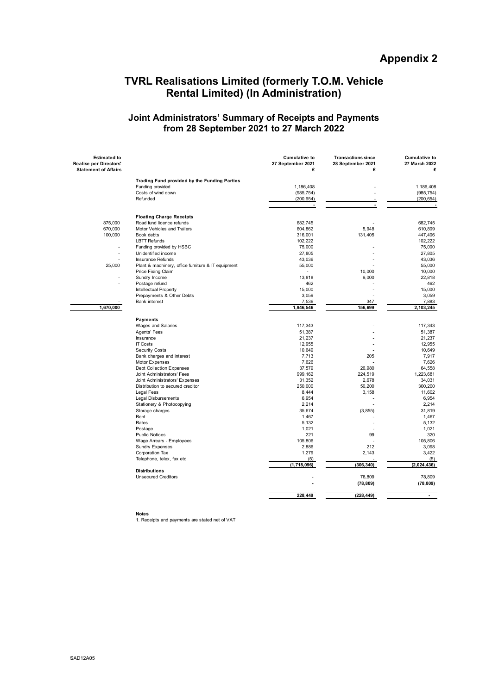# **TVRL Realisations Limited (formerly T.O.M. Vehicle Rental Limited) (In Administration)**

## **Joint Administrators' Summary of Receipts and Payments from 28 September 2021 to 27 March 2022**

| Trading Fund provided by the Funding Parties                           |                                            |
|------------------------------------------------------------------------|--------------------------------------------|
| Funding provided<br>1,186,408                                          | 1,186,408                                  |
| Costs of wind down<br>(985, 754)                                       | (985, 754)                                 |
| Refunded<br>(200, 654)                                                 | (200, 654)                                 |
| $\overline{\phantom{a}}$                                               | $\blacksquare$<br>$\overline{\phantom{a}}$ |
|                                                                        |                                            |
| <b>Floating Charge Receipts</b>                                        |                                            |
| 875,000<br>Road fund licence refunds<br>682,745                        | 682,745                                    |
| 670,000<br>Motor Vehicles and Trailers<br>604,862                      | 5,948<br>610,809                           |
| 100,000<br>Book debts<br>316,001                                       | 131,405<br>447,406                         |
| <b>LBTT Refunds</b><br>102,222                                         | 102,222                                    |
| Funding provided by HSBC<br>75,000                                     | 75,000                                     |
| Unidentified income<br>27,805<br>$\overline{\phantom{a}}$              | 27,805                                     |
| 43,036<br>Insurance Refunds                                            | 43,036                                     |
| Plant & machinery, office furniture & IT equipment<br>25,000<br>55,000 | 55,000                                     |
| Price Fixing Claim<br>$\blacksquare$                                   | 10,000<br>10,000                           |
| Sundry Income<br>13,818                                                | 9,000<br>22,818                            |
| Postage refund<br>462                                                  | 462                                        |
| Intellectual Property<br>15,000                                        | 15,000                                     |
| Prepayments & Other Debts<br>3,059                                     | 3,059                                      |
| 7,536<br><b>Bank interest</b>                                          | 347<br>7,883                               |
| 1,670,000<br>1,946,546                                                 | 2,103,245<br>156.699                       |
|                                                                        |                                            |
| Payments                                                               |                                            |
| Wages and Salaries<br>117,343                                          | 117,343                                    |
| Agents' Fees<br>51,387                                                 | 51,387                                     |
| Insurance<br>21,237                                                    | 21,237                                     |
| <b>IT Costs</b><br>12,955                                              | 12,955                                     |
| <b>Security Costs</b><br>10,649                                        | 10,649                                     |
| Bank charges and interest<br>7,713                                     | 205<br>7,917                               |
| 7,626<br>Motor Expenses                                                | 7,626                                      |
| Debt Collection Expenses<br>37,579                                     | 26,980<br>64,558                           |
| Joint Administrators' Fees<br>999,162                                  | 224,519<br>1,223,681                       |
| Joint Administrators' Expenses<br>31,352                               | 2,678<br>34,031                            |
| Distribution to secured creditor<br>250,000                            | 50,200<br>300,200                          |
| 8,444<br>Legal Fees                                                    | 3,158<br>11,602                            |
| <b>Legal Disbursements</b><br>6,954                                    | 6,954                                      |
| Stationery & Photocopying<br>2,214                                     | 2,214                                      |
| Storage charges<br>35,674                                              | (3, 855)<br>31,819                         |
| Rent<br>1,467                                                          | 1,467                                      |
| 5,132<br>Rates                                                         | 5,132                                      |
| 1,021<br>Postage                                                       | 1,021                                      |
| 221<br><b>Public Notices</b>                                           | 320<br>99                                  |
| Wage Arrears - Employees<br>105,806                                    | 105,806                                    |
| 2,886<br><b>Sundry Expenses</b>                                        | 212<br>3,098                               |
| 1,279<br>Corporation Tax                                               | 3,422<br>2,143                             |
| Telephone, telex, fax etc<br>(5)                                       | (5)                                        |
| (1,718,096)                                                            | (306, 340)<br>(2,024,436)                  |
| <b>Distributions</b>                                                   |                                            |
| <b>Unsecured Creditors</b>                                             | 78,809<br>78,809                           |
|                                                                        | (78, 809)<br>(78, 809)                     |
| 228,449                                                                | (228, 449)<br>$\blacksquare$               |

**Notes** 1. Receipts and payments are stated net of VAT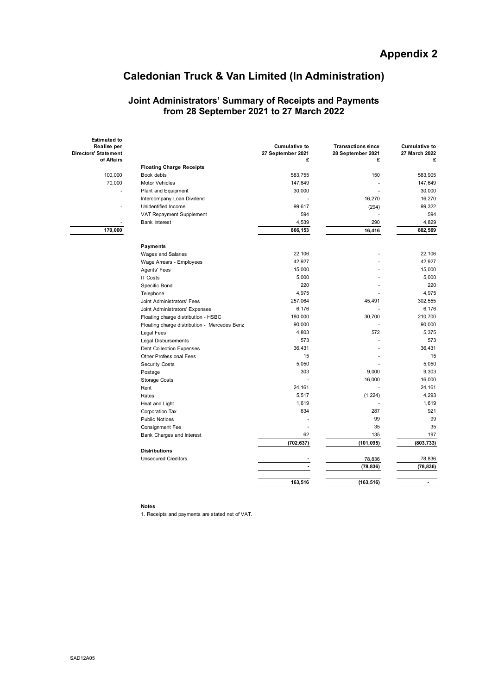# **Caledonian Truck & Van Limited (In Administration)**

### **Joint Administrators' Summary of Receipts and Payments from 28 September 2021 to 27 March 2022**

| <b>Estimated to</b><br>Realise per<br><b>Directors' Statement</b> |                                              | <b>Cumulative to</b><br>27 September 2021 | <b>Transactions since</b><br>28 September 2021 | <b>Cumulative to</b><br>27 March 2022 |
|-------------------------------------------------------------------|----------------------------------------------|-------------------------------------------|------------------------------------------------|---------------------------------------|
| of Affairs                                                        | <b>Floating Charge Receipts</b>              | £                                         | £                                              | £                                     |
| 100,000                                                           | Book debts                                   | 583,755                                   | 150                                            | 583.905                               |
| 70,000                                                            | <b>Motor Vehicles</b>                        | 147,649                                   |                                                | 147,649                               |
|                                                                   | Plant and Equipment                          | 30,000                                    |                                                | 30,000                                |
|                                                                   | Intercompany Loan Dividend                   |                                           | 16,270                                         | 16,270                                |
|                                                                   | Unidentified Income                          | 99,617                                    | (294)                                          | 99,322                                |
|                                                                   | VAT Repayment Supplement                     | 594                                       |                                                | 594                                   |
|                                                                   | <b>Bank Interest</b>                         | 4,539                                     | 290                                            | 4,829                                 |
| 170,000                                                           |                                              | 866,153                                   | 16,416                                         | 882,569                               |
|                                                                   |                                              |                                           |                                                |                                       |
|                                                                   | Payments                                     |                                           |                                                |                                       |
|                                                                   | <b>Wages and Salaries</b>                    | 22,106                                    |                                                | 22,106                                |
|                                                                   | Wage Arrears - Employees                     | 42,927                                    |                                                | 42,927                                |
|                                                                   | <b>Agents' Fees</b>                          | 15,000                                    |                                                | 15,000                                |
|                                                                   | <b>IT Costs</b>                              | 5,000                                     |                                                | 5,000                                 |
|                                                                   | Specific Bond                                | 220                                       |                                                | 220                                   |
|                                                                   | Telephone                                    | 4,975                                     |                                                | 4.975                                 |
|                                                                   | Joint Administrators' Fees                   | 257,064                                   | 45,491                                         | 302,555                               |
|                                                                   | Joint Administrators' Expenses               | 6,176                                     |                                                | 6,176                                 |
|                                                                   | Floating charge distribution - HSBC          | 180,000                                   | 30,700                                         | 210,700                               |
|                                                                   | Floating charge distribution - Mercedes Benz | 90,000                                    |                                                | 90,000                                |
|                                                                   | Legal Fees                                   | 4,803                                     | 572                                            | 5,375                                 |
|                                                                   | <b>Legal Disbursements</b>                   | 573                                       |                                                | 573                                   |
|                                                                   | <b>Debt Collection Expenses</b>              | 36,431                                    |                                                | 36,431                                |
|                                                                   | <b>Other Professional Fees</b>               | 15                                        |                                                | 15                                    |
|                                                                   | <b>Security Costs</b>                        | 5,050                                     |                                                | 5,050                                 |
|                                                                   | Postage                                      | 303                                       | 9,000                                          | 9,303                                 |
|                                                                   | <b>Storage Costs</b>                         |                                           | 16,000                                         | 16,000                                |
|                                                                   | Rent                                         | 24,161                                    |                                                | 24,161                                |
|                                                                   | Rates                                        | 5,517                                     | (1, 224)                                       | 4,293                                 |
|                                                                   | Heat and Light                               | 1,619                                     |                                                | 1,619                                 |
|                                                                   | Corporation Tax                              | 634                                       | 287                                            | 921                                   |
|                                                                   | <b>Public Notices</b>                        |                                           | 99                                             | 99                                    |
|                                                                   | <b>Consignment Fee</b>                       | $\sim$                                    | 35                                             | 35                                    |
|                                                                   | Bank Charges and Interest                    | 62                                        | 135                                            | 197                                   |
|                                                                   |                                              | (702, 637)                                | (101, 095)                                     | (803, 733)                            |
|                                                                   | <b>Distributions</b>                         |                                           |                                                |                                       |
|                                                                   | <b>Unsecured Creditors</b>                   |                                           | 78,836                                         | 78,836                                |
|                                                                   |                                              |                                           | (78, 836)                                      | (78, 836)                             |
|                                                                   |                                              | 163,516                                   | (163, 516)                                     | $\blacksquare$                        |
|                                                                   |                                              |                                           |                                                |                                       |

**Notes**

1. Receipts and payments are stated net of VAT.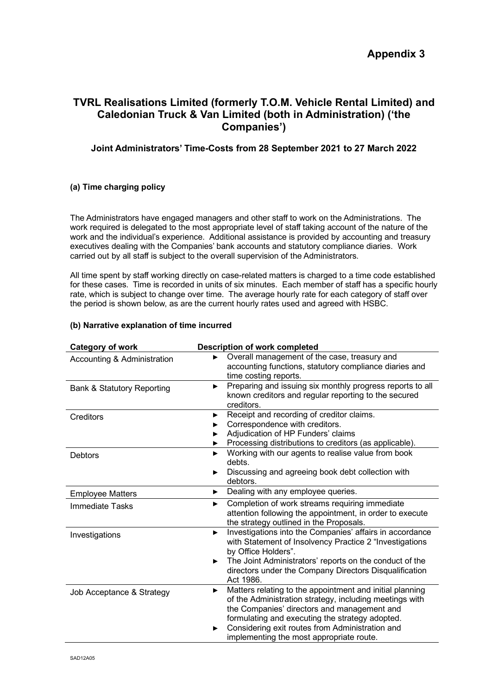## **TVRL Realisations Limited (formerly T.O.M. Vehicle Rental Limited) and Caledonian Truck & Van Limited (both in Administration) ('the Companies')**

## **Joint Administrators' Time-Costs from 28 September 2021 to 27 March 2022**

### **(a) Time charging policy**

The Administrators have engaged managers and other staff to work on the Administrations. The work required is delegated to the most appropriate level of staff taking account of the nature of the work and the individual's experience. Additional assistance is provided by accounting and treasury executives dealing with the Companies' bank accounts and statutory compliance diaries. Work carried out by all staff is subject to the overall supervision of the Administrators.

All time spent by staff working directly on case-related matters is charged to a time code established for these cases. Time is recorded in units of six minutes. Each member of staff has a specific hourly rate, which is subject to change over time. The average hourly rate for each category of staff over the period is shown below, as are the current hourly rates used and agreed with HSBC.

### **(b) Narrative explanation of time incurred**

| <b>Category of work</b>               | <b>Description of work completed</b>                                                                                                                                                                                                                                                                                           |
|---------------------------------------|--------------------------------------------------------------------------------------------------------------------------------------------------------------------------------------------------------------------------------------------------------------------------------------------------------------------------------|
| Accounting & Administration           | Overall management of the case, treasury and<br>►<br>accounting functions, statutory compliance diaries and<br>time costing reports.                                                                                                                                                                                           |
| <b>Bank &amp; Statutory Reporting</b> | Preparing and issuing six monthly progress reports to all<br>►<br>known creditors and regular reporting to the secured<br>creditors.                                                                                                                                                                                           |
| <b>Creditors</b>                      | Receipt and recording of creditor claims.<br>▶<br>Correspondence with creditors.<br>Adjudication of HP Funders' claims<br>Processing distributions to creditors (as applicable).                                                                                                                                               |
| <b>Debtors</b>                        | Working with our agents to realise value from book<br>▶<br>debts.<br>Discussing and agreeing book debt collection with<br>debtors.                                                                                                                                                                                             |
| <b>Employee Matters</b>               | Dealing with any employee queries.<br>▶                                                                                                                                                                                                                                                                                        |
| <b>Immediate Tasks</b>                | Completion of work streams requiring immediate<br>▶<br>attention following the appointment, in order to execute<br>the strategy outlined in the Proposals.                                                                                                                                                                     |
| Investigations                        | Investigations into the Companies' affairs in accordance<br>▶<br>with Statement of Insolvency Practice 2 "Investigations<br>by Office Holders".<br>The Joint Administrators' reports on the conduct of the<br>►<br>directors under the Company Directors Disqualification<br>Act 1986.                                         |
| Job Acceptance & Strategy             | Matters relating to the appointment and initial planning<br>▶<br>of the Administration strategy, including meetings with<br>the Companies' directors and management and<br>formulating and executing the strategy adopted.<br>Considering exit routes from Administration and<br>▶<br>implementing the most appropriate route. |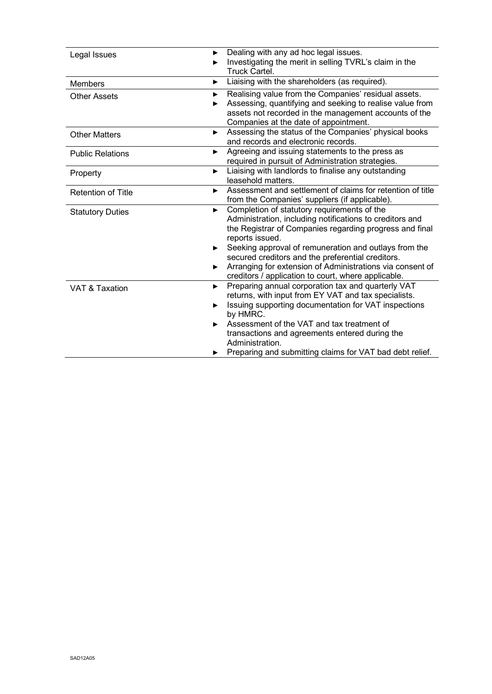| Legal Issues              | Dealing with any ad hoc legal issues.<br>Investigating the merit in selling TVRL's claim in the<br>Truck Cartel.                                                                                                                                                                                                 |  |  |
|---------------------------|------------------------------------------------------------------------------------------------------------------------------------------------------------------------------------------------------------------------------------------------------------------------------------------------------------------|--|--|
| <b>Members</b>            | Liaising with the shareholders (as required).<br>▶                                                                                                                                                                                                                                                               |  |  |
| <b>Other Assets</b>       | Realising value from the Companies' residual assets.<br>►<br>Assessing, quantifying and seeking to realise value from<br>▶<br>assets not recorded in the management accounts of the<br>Companies at the date of appointment.                                                                                     |  |  |
| <b>Other Matters</b>      | Assessing the status of the Companies' physical books<br>▶<br>and records and electronic records.                                                                                                                                                                                                                |  |  |
| <b>Public Relations</b>   | Agreeing and issuing statements to the press as<br>▶<br>required in pursuit of Administration strategies.                                                                                                                                                                                                        |  |  |
| Property                  | Liaising with landlords to finalise any outstanding<br>▶<br>leasehold matters.                                                                                                                                                                                                                                   |  |  |
| <b>Retention of Title</b> | Assessment and settlement of claims for retention of title<br>►<br>from the Companies' suppliers (if applicable).                                                                                                                                                                                                |  |  |
| <b>Statutory Duties</b>   | Completion of statutory requirements of the<br>►<br>Administration, including notifications to creditors and<br>the Registrar of Companies regarding progress and final<br>reports issued.                                                                                                                       |  |  |
|                           | Seeking approval of remuneration and outlays from the<br>▶<br>secured creditors and the preferential creditors.<br>Arranging for extension of Administrations via consent of<br>creditors / application to court, where applicable.                                                                              |  |  |
| VAT & Taxation            | Preparing annual corporation tax and quarterly VAT<br>▶<br>returns, with input from EY VAT and tax specialists.<br>Issuing supporting documentation for VAT inspections<br>▶<br>by HMRC.<br>Assessment of the VAT and tax treatment of<br>►<br>transactions and agreements entered during the<br>Administration. |  |  |
|                           | Preparing and submitting claims for VAT bad debt relief.                                                                                                                                                                                                                                                         |  |  |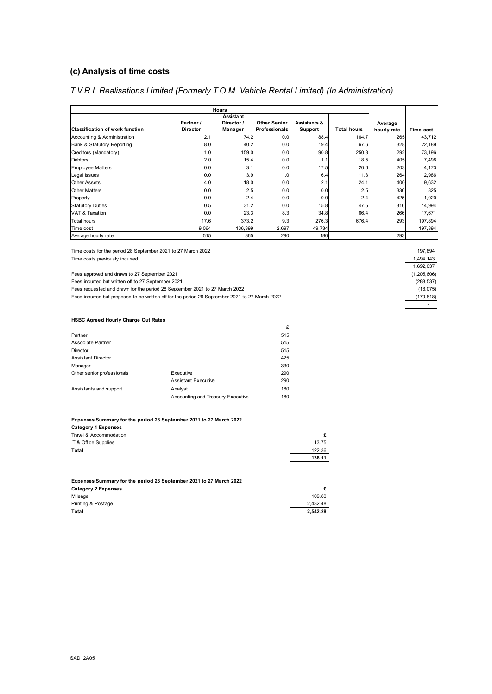## **(c) Analysis of time costs**

## *T.V.R.L Realisations Limited (Formerly T.O.M. Vehicle Rental Limited) (In Administration)*

| <b>Hours</b>                           |                 |                         |                      |              |                    |             |           |
|----------------------------------------|-----------------|-------------------------|----------------------|--------------|--------------------|-------------|-----------|
|                                        | Partner /       | Assistant<br>Director / | <b>Other Senior</b>  | Assistants & |                    | Average     |           |
| <b>Classification of work function</b> | <b>Director</b> | Manager                 | <b>Professionals</b> | Support      | <b>Total hours</b> | hourly rate | Time cost |
| Accounting & Administration            | 2.1             | 74.2                    | 0.0                  | 88.4         | 164.7              | 265         | 43,712    |
| Bank & Statutory Reporting             | 8.0             | 40.2                    | 0.0                  | 19.4         | 67.6               | 328         | 22,189    |
| Creditors (Mandatory)                  | 1.0             | 159.0                   | 0.0                  | 90.8         | 250.8              | 292         | 73,196    |
| <b>Debtors</b>                         | 2.0             | 15.4                    | 0.0                  | 1.1          | 18.5               | 405         | 7,498     |
| <b>Employee Matters</b>                | 0.0             | 3.1                     | 0.0                  | 17.5         | 20.6               | 203         | 4,173     |
| Legal Issues                           | 0.0             | 3.9                     | 1.0                  | 6.4          | 11.3               | 264         | 2,986     |
| <b>Other Assets</b>                    | 4.0             | 18.0                    | 0.0                  | 2.1          | 24.1               | 400         | 9,632     |
| <b>Other Matters</b>                   | 0.0             | 2.5                     | 0.0                  | 0.0          | 2.5                | 330         | 825       |
| Property                               | 0.0             | 2.4                     | 0.0                  | 0.0          | 2.4                | 425         | 1,020     |
| <b>Statutory Duties</b>                | 0.5             | 31.2                    | 0.0                  | 15.8         | 47.5               | 316         | 14,994    |
| VAT & Taxation                         | 0.0             | 23.3                    | 8.3                  | 34.8         | 66.4               | 266         | 17,671    |
| <b>Total hours</b>                     | 17.6            | 373.2                   | 9.3                  | 276.3        | 676.4              | 293         | 197,894   |
| Time cost                              | 9,064           | 136,399                 | 2,697                | 49,734       |                    |             | 197,894   |
| Average hourly rate                    | 515             | 365                     | 290                  | 180          |                    | 293         |           |

£

Time costs for the period 28 September 2021 to 27 March 2022 Time costs previously incurred

Fees approved and drawn to 27 September 2021

Fees incurred but written off to 27 September 2021

Fees requested and drawn for the period 28 September 2021 to 27 March 2022

Fees incurred but proposed to be written off for the period 28 September 2021 to 27 March 2022

| 197.894     |
|-------------|
| 1.494.143   |
| 1.692.037   |
| (1,205,606) |
| (288, 537)  |
| (18, 075)   |
| (179, 818)  |
|             |

### **HSBC Agreed Hourly Charge Out Rates**

| Partner                    |                                   | 515 |
|----------------------------|-----------------------------------|-----|
| Associate Partner          |                                   | 515 |
| Director                   |                                   | 515 |
| <b>Assistant Director</b>  |                                   | 425 |
| Manager                    |                                   | 330 |
| Other senior professionals | Executive                         | 290 |
|                            | <b>Assistant Executive</b>        | 290 |
| Assistants and support     | Analyst                           | 180 |
|                            | Accounting and Treasury Executive | 180 |
|                            |                                   |     |

#### **Expenses Summary for the period 28 September 2021 to 27 March 2022**

| <b>Category 1 Expenses</b> |        |
|----------------------------|--------|
| Travel & Accommodation     |        |
| IT & Office Supplies       | 13.75  |
| Total                      | 122.36 |
|                            | 136.11 |
|                            |        |

| Expenses Summary for the period 28 September 2021 to 27 March 2022 |          |  |  |  |
|--------------------------------------------------------------------|----------|--|--|--|
| Category 2 Expenses                                                |          |  |  |  |
| Mileage                                                            | 109.80   |  |  |  |
| Printing & Postage                                                 | 2.432.48 |  |  |  |
| Total                                                              | 2.542.28 |  |  |  |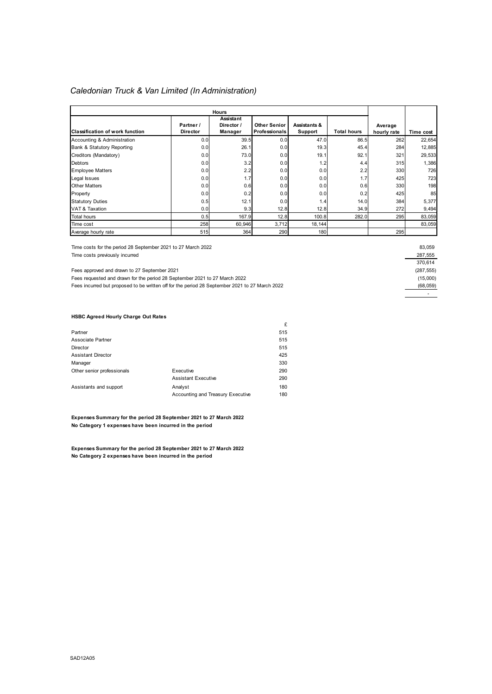### *Caledonian Truck & Van Limited (In Administration)*

| <b>Hours</b>                           |                              |                                    |                                      |                         |                    |                        |           |
|----------------------------------------|------------------------------|------------------------------------|--------------------------------------|-------------------------|--------------------|------------------------|-----------|
| <b>Classification of work function</b> | Partner /<br><b>Director</b> | Assistant<br>Director /<br>Manager | Other Senior<br><b>Professionals</b> | Assistants &<br>Support | <b>Total hours</b> | Average<br>hourly rate | Time cost |
| Accounting & Administration            | 0.0                          | 39.5                               | 0.0                                  | 47.0                    | 86.5               | 262                    | 22,654    |
| Bank & Statutory Reporting             | 0.0                          | 26.1                               | 0.0                                  | 19.3                    | 45.4               | 284                    | 12,885    |
| Creditors (Mandatory)                  | 0.0                          | 73.0                               | 0.0                                  | 19.1                    | 92.1               | 321                    | 29,533    |
| Debtors                                | 0.0                          | 3.2                                | 0.0                                  | 1.2                     | 4.4                | 315                    | 1,386     |
| <b>Employee Matters</b>                | 0.0                          | 2.2                                | 0.0                                  | 0.0                     | 2.2                | 330                    | 726       |
| Legal Issues                           | 0.0                          | 1.7                                | 0.0                                  | 0.0                     | 1.7                | 425                    | 723       |
| <b>Other Matters</b>                   | 0.0                          | 0.6                                | 0.0                                  | 0.0                     | 0.6                | 330                    | 198       |
| Property                               | 0.0                          | 0.2                                | 0.0                                  | 0.0                     | 0.2                | 425                    | 85        |
| <b>Statutory Duties</b>                | 0.5                          | 12.1                               | 0.0                                  | 1.4                     | 14.0               | 384                    | 5,377     |
| VAT & Taxation                         | 0.0                          | 9.3                                | 12.8                                 | 12.8                    | 34.9               | 272                    | 9,494     |
| <b>Total hours</b>                     | 0.5                          | 167.9                              | 12.8                                 | 100.8                   | 282.0              | 295                    | 83,059    |
| Time cost                              | 258                          | 60,946                             | 3,712                                | 18,144                  |                    |                        | 83,059    |
| Average hourly rate                    | 515                          | 364                                | 290                                  | 180                     |                    | 295                    |           |

Time costs for the period 28 September 2021 to 27 March 2022

Time costs previously incurred 287,555

Fees approved and drawn to 27 September 2021 (287,555)

Fees requested and drawn for the period 28 September 2021 to 27 March 2022 (15,000)

Fees incurred but proposed to be written off for the period 28 September 2021 to 27 March 2022 (68,059)

#### **HSBC Agreed Hourly Charge Out Rates**

|                            |                                   | £   |
|----------------------------|-----------------------------------|-----|
| Partner                    |                                   | 515 |
| Associate Partner          |                                   | 515 |
| Director                   |                                   | 515 |
| <b>Assistant Director</b>  |                                   | 425 |
| Manager                    |                                   | 330 |
| Other senior professionals | Executive                         | 290 |
|                            | <b>Assistant Executive</b>        | 290 |
| Assistants and support     | Analyst                           | 180 |
|                            | Accounting and Treasury Executive | 180 |

**Expenses Summary for the period 28 September 2021 to 27 March 2022 No Category 1 expenses have been incurred in the period**

**Expenses Summary for the period 28 September 2021 to 27 March 2022 No Category 2 expenses have been incurred in the period**

| 83,059    |
|-----------|
| 287,555   |
| 370,614   |
| (287,555  |
| (15,000)  |
| (68, 059) |
|           |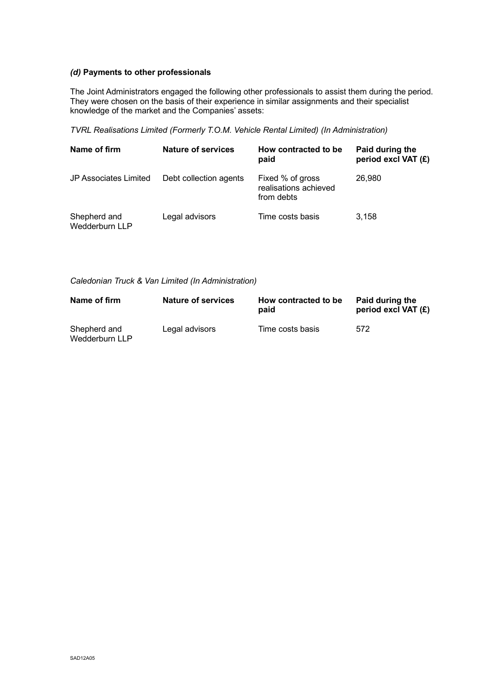### *(d)* **Payments to other professionals**

The Joint Administrators engaged the following other professionals to assist them during the period. They were chosen on the basis of their experience in similar assignments and their specialist knowledge of the market and the Companies' assets:

*TVRL Realisations Limited (Formerly T.O.M. Vehicle Rental Limited) (In Administration)*

| Name of firm                   | Nature of services     | How contracted to be<br>paid                            | Paid during the<br>period excl VAT (£) |
|--------------------------------|------------------------|---------------------------------------------------------|----------------------------------------|
| <b>JP Associates Limited</b>   | Debt collection agents | Fixed % of gross<br>realisations achieved<br>from debts | 26,980                                 |
| Shepherd and<br>Wedderburn LLP | Legal advisors         | Time costs basis                                        | 3.158                                  |

*Caledonian Truck & Van Limited (In Administration)*

| Name of firm                   | Nature of services | How contracted to be<br>paid | Paid during the<br>period excl VAT (£) |
|--------------------------------|--------------------|------------------------------|----------------------------------------|
| Shepherd and<br>Wedderburn LLP | Legal advisors     | Time costs basis             | 572                                    |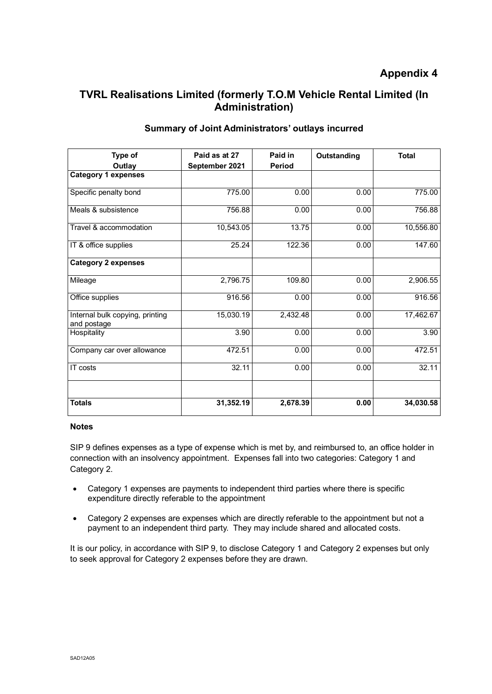# **TVRL Realisations Limited (formerly T.O.M Vehicle Rental Limited (In Administration)**

| Type of                                        | Paid as at 27  | Paid in       | Outstanding | <b>Total</b> |
|------------------------------------------------|----------------|---------------|-------------|--------------|
| Outlay                                         | September 2021 | <b>Period</b> |             |              |
| <b>Category 1 expenses</b>                     |                |               |             |              |
| Specific penalty bond                          | 775.00         | 0.00          | 0.00        | 775.00       |
| Meals & subsistence                            | 756.88         | 0.00          | 0.00        | 756.88       |
| Travel & accommodation                         | 10,543.05      | 13.75         | 0.00        | 10,556.80    |
| IT & office supplies                           | 25.24          | 122.36        | 0.00        | 147.60       |
| <b>Category 2 expenses</b>                     |                |               |             |              |
| Mileage                                        | 2,796.75       | 109.80        | 0.00        | 2,906.55     |
| Office supplies                                | 916.56         | 0.00          | 0.00        | 916.56       |
| Internal bulk copying, printing<br>and postage | 15,030.19      | 2,432.48      | 0.00        | 17,462.67    |
| Hospitality                                    | 3.90           | 0.00          | 0.00        | 3.90         |
| Company car over allowance                     | 472.51         | 0.00          | 0.00        | 472.51       |
| IT costs                                       | 32.11          | 0.00          | 0.00        | 32.11        |
| <b>Totals</b>                                  | 31,352.19      | 2,678.39      | 0.00        | 34,030.58    |

## **Summary of Joint Administrators' outlays incurred**

### **Notes**

SIP 9 defines expenses as a type of expense which is met by, and reimbursed to, an office holder in connection with an insolvency appointment. Expenses fall into two categories: Category 1 and Category 2.

- Category 1 expenses are payments to independent third parties where there is specific expenditure directly referable to the appointment
- Category 2 expenses are expenses which are directly referable to the appointment but not a payment to an independent third party. They may include shared and allocated costs.

It is our policy, in accordance with SIP 9, to disclose Category 1 and Category 2 expenses but only to seek approval for Category 2 expenses before they are drawn.